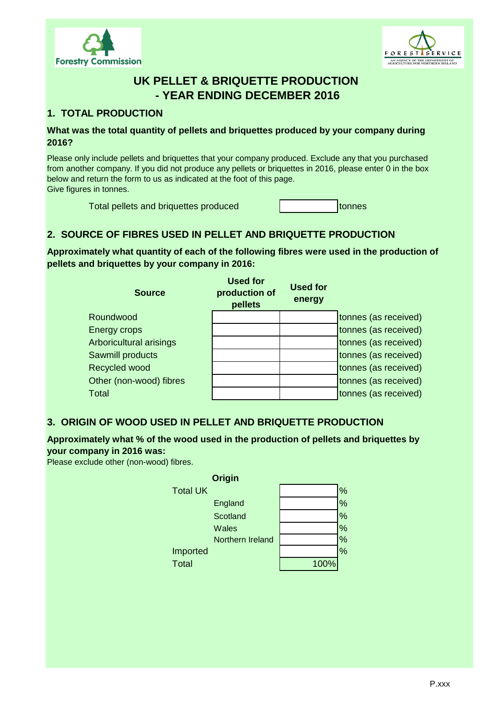



# **UK PELLET & BRIQUETTE PRODUCTION - YEAR ENDING DECEMBER 2016**

### **1. TOTAL PRODUCTION**

#### **What was the total quantity of pellets and briquettes produced by your company during 2016?**

Please only include pellets and briquettes that your company produced. Exclude any that you purchased from another company. If you did not produce any pellets or briquettes in 2016, please enter 0 in the box below and return the form to us as indicated at the foot of this page. Give figures in tonnes.

Total pellets and briquettes produced and tonnes

## **2. SOURCE OF FIBRES USED IN PELLET AND BRIQUETTE PRODUCTION**

**Approximately what quantity of each of the following fibres were used in the production of pellets and briquettes by your company in 2016:**

| <b>Source</b>                  | <b>Used for</b><br>production of<br>pellets | <b>Used for</b><br>energy |                      |
|--------------------------------|---------------------------------------------|---------------------------|----------------------|
| Roundwood                      |                                             |                           | tonnes (as received) |
| Energy crops                   |                                             |                           | tonnes (as received) |
| <b>Arboricultural arisings</b> |                                             |                           | tonnes (as received) |
| Sawmill products               |                                             |                           | tonnes (as received) |
| Recycled wood                  |                                             |                           | tonnes (as received) |
| Other (non-wood) fibres        |                                             |                           | tonnes (as received) |
| <b>Total</b>                   |                                             |                           | tonnes (as received) |

### **3. ORIGIN OF WOOD USED IN PELLET AND BRIQUETTE PRODUCTION**

### **Approximately what % of the wood used in the production of pellets and briquettes by your company in 2016 was:**

Please exclude other (non-wood) fibres.

| <b>Origin</b>    |      |      |
|------------------|------|------|
| <b>Total UK</b>  |      | %    |
| England          |      | $\%$ |
| Scotland         |      | $\%$ |
| Wales            |      | $\%$ |
| Northern Ireland |      | $\%$ |
| Imported         |      | $\%$ |
| <b>Total</b>     | 100% |      |